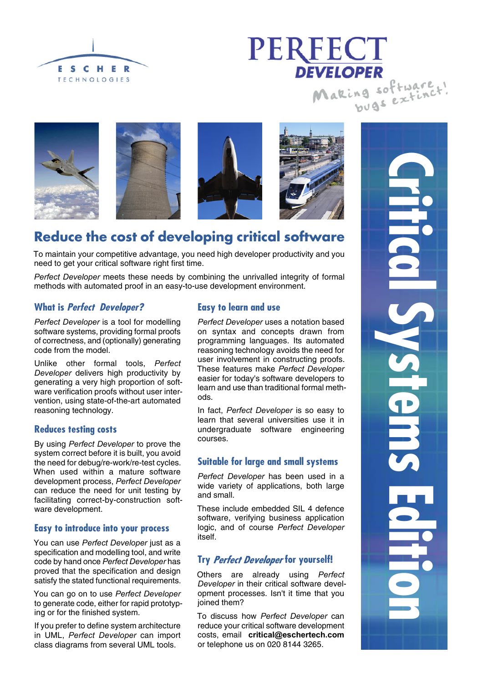





# **Reduce the cost of developing critical software**

To maintain your competitive advantage, you need high developer productivity and you need to get your critical software right first time.

*Perfect Developer* meets these needs by combining the unrivalled integrity of formal methods with automated proof in an easy-to-use development environment.

# **What is Perfect Developer?**

*Perfect Developer* is a tool for modelling software systems, providing formal proofs of correctness, and (optionally) generating code from the model.

Unlike other formal tools, *Perfect Developer* delivers high productivity by generating a very high proportion of software verification proofs without user intervention, using state-of-the-art automated reasoning technology.

### **Reduces testing costs**

By using *Perfect Developer* to prove the system correct before it is built, you avoid the need for debug/re-work/re-test cycles. When used within a mature software development process, *Perfect Developer* can reduce the need for unit testing by facilitating correct-by-construction software development.

## **Easy to introduce into your process**

You can use *Perfect Developer* just as a specification and modelling tool, and write code by hand once *Perfect Developer* has proved that the specification and design satisfy the stated functional requirements.

You can go on to use *Perfect Developer* to generate code, either for rapid prototyping or for the finished system.

If you prefer to define system architecture in UML, *Perfect Developer* can import class diagrams from several UML tools.

### **Easy to learn and use**

*Perfect Developer* uses a notation based on syntax and concepts drawn from programming languages. Its automated reasoning technology avoids the need for user involvement in constructing proofs. These features make *Perfect Developer* easier for today's software developers to learn and use than traditional formal methods.

In fact, *Perfect Developer* is so easy to learn that several universities use it in undergraduate software engineering courses.

### **Suitable for large and small systems**

*Perfect Developer* has been used in a wide variety of applications, both large and small.

These include embedded SIL 4 defence software, verifying business application logic, and of course *Perfect Developer* itself.

## Try Perfect Developer for yourself!

Others are already using *Perfect Developer* in their critical software development processes. Isn't it time that you joined them?

To discuss how *Perfect Developer* can reduce your critical software development costs, email **critical@eschertech.com** or telephone us on 020 8144 3265.